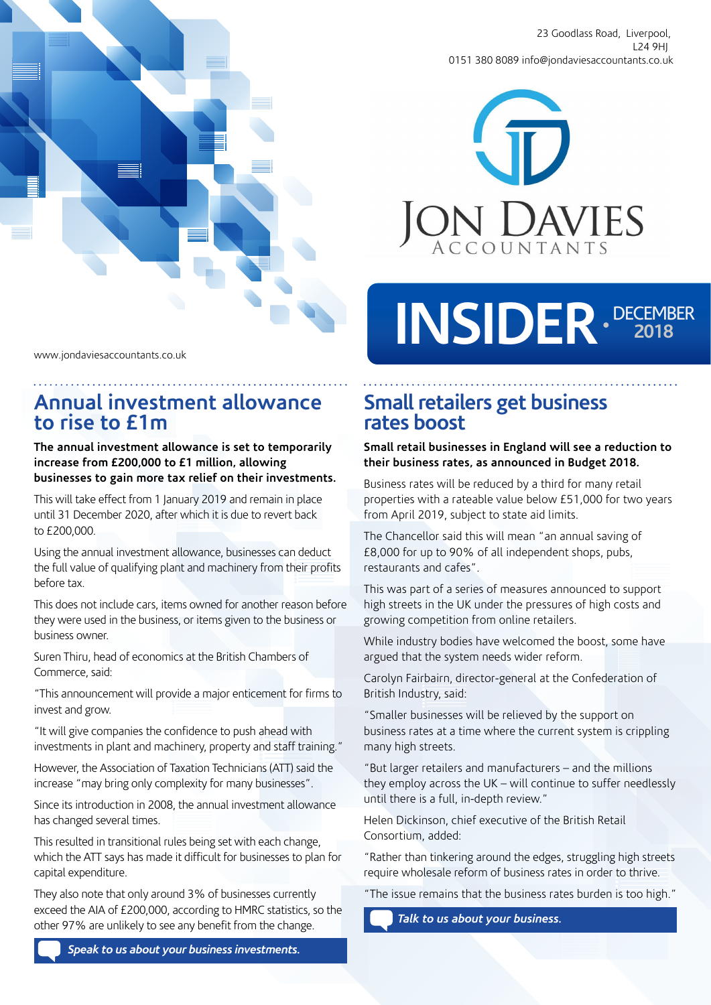

23 Goodlass Road, Liverpool, L24 9HJ 0151 380 8089 info@jondaviesaccountants.co.uk



# INSIDER DECEMBER

www.jondaviesaccountants.co.uk

## **Annual investment allowance to rise to £1m**

**The annual investment allowance is set to temporarily increase from £200,000 to £1 million, allowing businesses to gain more tax relief on their investments.**

This will take effect from 1 January 2019 and remain in place until 31 December 2020, after which it is due to revert back to £200,000.

Using the annual investment allowance, businesses can deduct the full value of qualifying plant and machinery from their profits before tax.

This does not include cars, items owned for another reason before they were used in the business, or items given to the business or business owner.

Suren Thiru, head of economics at the British Chambers of Commerce, said:

"This announcement will provide a major enticement for firms to invest and grow.

"It will give companies the confidence to push ahead with investments in plant and machinery, property and staff training."

However, the Association of Taxation Technicians (ATT) said the increase "may bring only complexity for many businesses".

Since its introduction in 2008, the annual investment allowance has changed several times.

This resulted in transitional rules being set with each change, which the ATT says has made it difficult for businesses to plan for capital expenditure.

They also note that only around 3% of businesses currently exceed the AIA of £200,000, according to HMRC statistics, so the other 97% are unlikely to see any benefit from the change.

*Speak to us about your business investments.*

# **Small retailers get business rates boost**

#### **Small retail businesses in England will see a reduction to their business rates, as announced in Budget 2018.**

Business rates will be reduced by a third for many retail properties with a rateable value below £51,000 for two years from April 2019, subject to state aid limits.

The Chancellor said this will mean "an annual saving of £8,000 for up to 90% of all independent shops, pubs, restaurants and cafes".

This was part of a series of measures announced to support high streets in the UK under the pressures of high costs and growing competition from online retailers.

While industry bodies have welcomed the boost, some have argued that the system needs wider reform.

Carolyn Fairbairn, director-general at the Confederation of British Industry, said:

"Smaller businesses will be relieved by the support on business rates at a time where the current system is crippling many high streets.

"But larger retailers and manufacturers – and the millions they employ across the UK – will continue to suffer needlessly until there is a full, in-depth review."

Helen Dickinson, chief executive of the British Retail Consortium, added:

"Rather than tinkering around the edges, struggling high streets require wholesale reform of business rates in order to thrive.

"The issue remains that the business rates burden is too high."

*Talk to us about your business.*